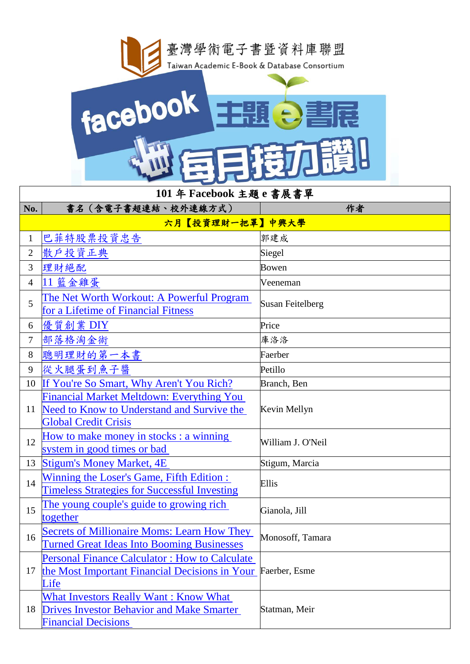

| 101年 Facebook 主題 e 書展書單 |                                                                                                                                |                         |  |  |
|-------------------------|--------------------------------------------------------------------------------------------------------------------------------|-------------------------|--|--|
| No.                     | 書名 (含電子書超連結、校外連線方式)                                                                                                            | 作者                      |  |  |
|                         | 六月【投資理財一把罩】中興大學                                                                                                                |                         |  |  |
| $\mathbf{1}$            | 巴菲特股票投資忠告                                                                                                                      | 郭建成                     |  |  |
| $\overline{2}$          | 散户投資正典                                                                                                                         | Siegel                  |  |  |
| 3                       | 理財絕配                                                                                                                           | <b>Bowen</b>            |  |  |
| $\overline{4}$          | 11 籃金雞蛋                                                                                                                        | Veeneman                |  |  |
| 5                       | The Net Worth Workout: A Powerful Program<br>for a Lifetime of Financial Fitness                                               | <b>Susan Feitelberg</b> |  |  |
| 6                       | 優質創業 DIY                                                                                                                       | Price                   |  |  |
| $\tau$                  | 部落格淘金術                                                                                                                         | 庫洛洛                     |  |  |
| 8                       | 聰明理財的第一本書                                                                                                                      | Faerber                 |  |  |
| 9                       | 從火腿蛋到魚子醬                                                                                                                       | Petillo                 |  |  |
| 10                      | If You're So Smart, Why Aren't You Rich?                                                                                       | Branch, Ben             |  |  |
| 11                      | <b>Financial Market Meltdown: Everything You</b><br>Need to Know to Understand and Survive the<br><b>Global Credit Crisis</b>  | Kevin Mellyn            |  |  |
| 12                      | How to make money in stocks : a winning<br>system in good times or bad                                                         | William J. O'Neil       |  |  |
| 13                      | <b>Stigum's Money Market, 4E</b>                                                                                               | Stigum, Marcia          |  |  |
| 14                      | Winning the Loser's Game, Fifth Edition :<br><b>Timeless Strategies for Successful Investing</b>                               | Ellis                   |  |  |
| 15                      | The young couple's guide to growing rich<br>together                                                                           | Gianola, Jill           |  |  |
| 16                      | <b>Secrets of Millionaire Moms: Learn How They</b><br><b>Turned Great Ideas Into Booming Businesses</b>                        | Monosoff, Tamara        |  |  |
| 17                      | <b>Personal Finance Calculator: How to Calculate</b><br>the Most Important Financial Decisions in Your<br>Life                 | Faerber, Esme           |  |  |
| 18                      | <b>What Investors Really Want: Know What</b><br><b>Drives Investor Behavior and Make Smarter</b><br><b>Financial Decisions</b> | Statman, Meir           |  |  |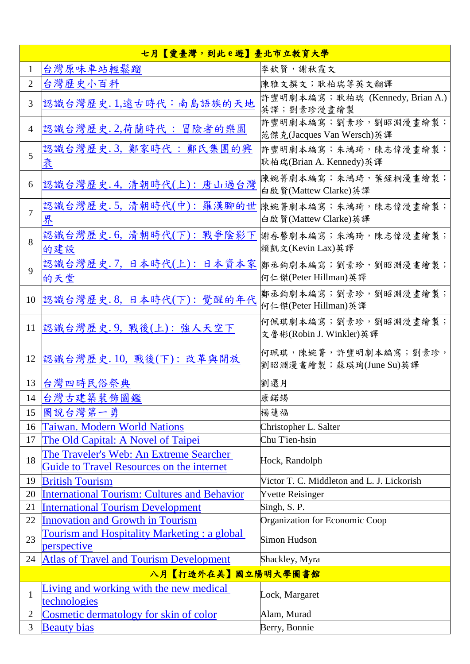| 七月【愛臺灣,到此e遊】臺北市立教育大學 |                                                                                      |                                                   |  |
|----------------------|--------------------------------------------------------------------------------------|---------------------------------------------------|--|
| $\mathbf{1}$         | 台灣原味車站輕鬆蹓                                                                            | 李欽賢,謝秋霞文                                          |  |
| $\overline{2}$       | 台灣歷史小百科                                                                              | 陳雅文撰文; 耿柏瑞等英文翻譯                                   |  |
| 3                    | 認識台灣歷史. 1,遠古時代:南島語族的天地                                                               | 許豐明劇本編寫; 耿柏瑞 (Kennedy, Brian A.)<br>英譯;劉素珍漫畫繪製    |  |
| $\overline{4}$       | 認識台灣歷史.2,荷蘭時代:冒險者的樂園                                                                 | 許豐明劇本編寫;劉素珍,劉昭淵漫畫繪製;<br>范傑克(Jacques Van Wersch)英譯 |  |
| 5                    | 認識台灣歷史.3, 鄭家時代: 鄭氏集團的興<br>衰                                                          | 許豐明劇本編寫;朱鴻琦,陳志偉漫畫繪製;<br> 耿柏瑞(Brian A. Kennedy)英譯  |  |
| 6                    | 認識台灣歷史. 4, 清朝時代(上): 唐山過台灣                                                            | 陳婉箐劇本編寫;朱鴻琦,葉銍桐漫畫繪製;<br>白啟賢(Mattew Clarke)英譯      |  |
| $\overline{7}$       | 認識台灣歷史.5,清朝時代(中):羅漢腳的世<br>界                                                          | 陳婉箐劇本編寫;朱鴻琦,陳志偉漫畫繪製;<br>白啟賢(Mattew Clarke)英譯      |  |
| 8                    | 認識台灣歷史.6, 清朝時代(下): 戰爭陰影下<br>的建設                                                      | 謝春馨劇本編寫;朱鴻琦,陳志偉漫畫繪製;<br>賴凱文(Kevin Lax)英譯          |  |
| 9                    | 認識台灣歷史.7, 日本時代(上): 日本資本家<br>的天堂                                                      | 鄭丞鈞劇本編寫;劉素珍,劉昭淵漫畫繪製;<br>何仁傑(Peter Hillman)英譯      |  |
| 10                   | 認識台灣歷史.8,日本時代(下):覺醒的年代                                                               | 鄭丞鈞劇本編寫;劉素珍,劉昭淵漫畫繪製;<br>何仁傑(Peter Hillman)英譯      |  |
| 11                   | 認識台灣歷史.9, 戰後(上): 強人天空下                                                               | 何佩琪劇本編寫;劉素珍,劉昭淵漫畫繪製;<br>文魯彬(Robin J. Winkler)英譯   |  |
| 12                   | 認識台灣歷史.10, 戰後(下): 改革與開放                                                              | 何珮琪,陳婉箐,許豐明劇本編寫;劉素珍,<br>劉昭淵漫畫繪製;蘇瑛珣(June Su)英譯    |  |
| 13                   | 台灣四時民俗祭典                                                                             | 劉還月                                               |  |
| 14                   | 台灣古建築裝飾圖鑑                                                                            | 康鍩錫                                               |  |
| 15                   | 圖說台灣第一勇                                                                              | 楊蓮福                                               |  |
| 16                   | Taiwan. Modern World Nations                                                         | Christopher L. Salter                             |  |
| 17                   | The Old Capital: A Novel of Taipei                                                   | Chu T'ien-hsin                                    |  |
| 18                   | The Traveler's Web: An Extreme Searcher<br>Guide to Travel Resources on the internet | Hock, Randolph                                    |  |
| 19                   | <b>British Tourism</b>                                                               | Victor T. C. Middleton and L. J. Lickorish        |  |
| 20                   | <b>International Tourism: Cultures and Behavior</b>                                  | <b>Yvette Reisinger</b>                           |  |
| 21                   | <b>International Tourism Development</b>                                             | Singh, S.P.                                       |  |
| 22                   | <b>Innovation and Growth in Tourism</b>                                              | Organization for Economic Coop                    |  |
| 23                   | Tourism and Hospitality Marketing : a global<br>perspective                          | Simon Hudson                                      |  |
| 24                   | <b>Atlas of Travel and Tourism Development</b>                                       | Shackley, Myra                                    |  |
|                      | 八月【打造外在美】國立陽明大學圖書館                                                                   |                                                   |  |
| $\mathbf{1}$         | Living and working with the new medical<br>technologies                              | Lock, Margaret                                    |  |
| $\mathbf{2}$         | Cosmetic dermatology for skin of color                                               | Alam, Murad                                       |  |
| 3                    | <b>Beauty bias</b>                                                                   | Berry, Bonnie                                     |  |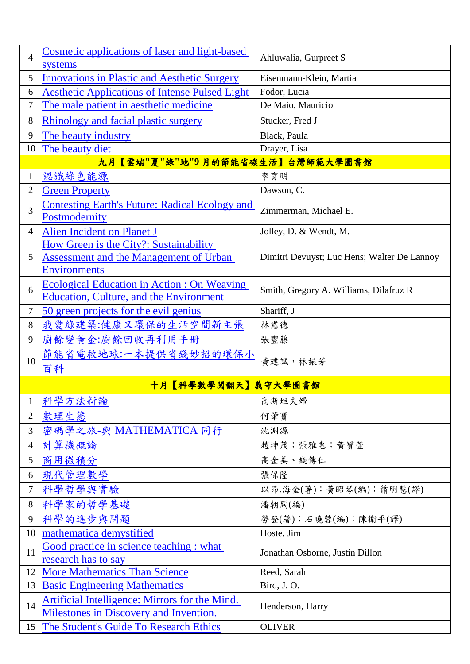| $\overline{4}$   | Cosmetic applications of laser and light-based<br>systems              | Ahluwalia, Gurpreet S                       |
|------------------|------------------------------------------------------------------------|---------------------------------------------|
| 5                | <b>Innovations in Plastic and Aesthetic Surgery</b>                    | Eisenmann-Klein, Martia                     |
| 6                | <b>Aesthetic Applications of Intense Pulsed Light</b>                  | Fodor, Lucia                                |
| 7                | The male patient in aesthetic medicine                                 | De Maio, Mauricio                           |
| 8                | <b>Rhinology and facial plastic surgery</b>                            | Stucker, Fred J                             |
| 9                | The beauty industry                                                    | Black, Paula                                |
| 10               | The beauty diet                                                        | Drayer, Lisa                                |
|                  | 【雲端"夏"綠"地"9月的節能省碳生活】台灣師範大學圖書館<br>九月                                    |                                             |
| $\mathbf{1}$     | 認識綠色能源                                                                 | 李育明                                         |
| $\overline{2}$   | <b>Green Property</b>                                                  | Dawson, C.                                  |
| 3                | <b>Contesting Earth's Future: Radical Ecology and</b><br>Postmodernity | Zimmerman, Michael E.                       |
| $\overline{4}$   | Alien Incident on Planet J                                             | Jolley, D. & Wendt, M.                      |
|                  | How Green is the City?: Sustainability                                 |                                             |
| 5                | <b>Assessment and the Management of Urban</b>                          | Dimitri Devuyst; Luc Hens; Walter De Lannoy |
|                  | <b>Environments</b>                                                    |                                             |
| 6                | <b>Ecological Education in Action : On Weaving</b>                     | Smith, Gregory A. Williams, Dilafruz R      |
|                  | <b>Education, Culture, and the Environment</b>                         |                                             |
| $\boldsymbol{7}$ | 50 green projects for the evil genius                                  | Shariff, J                                  |
| 8                | 我愛綠建築:健康又環保的生活空間新主張                                                    | 林憲德                                         |
| 9                | 廚餘變黃金:廚餘回收再利用手冊                                                        | 張豐藤                                         |
| 10               | 節能省電救地球:一本提供省錢妙招的環保小                                                   | 黄建誠, 林振芳                                    |
|                  | 百科                                                                     |                                             |
|                  | 十月【科學數學閱翻天】義守大學圖書館                                                     |                                             |
| $\mathbf 1$      | 科學方法新論                                                                 | 高斯坦夫婦                                       |
| $\mathbf{2}$     | 數理生態                                                                   | 何肇寶                                         |
| 3                | 密碼學之旅-與 MATHEMATICA 同行                                                 | 沈淵源                                         |
| $\overline{4}$   | 計算機概論                                                                  | 趙坤茂;張雅惠;黃寶萱                                 |
| 5                | 商用微積分                                                                  | 高金美、錢傳仁                                     |
| 6                | 現代管理數學                                                                 | 張保隆                                         |
| $\tau$           | 科學哲學與實驗                                                                | 以昂.海金(著);黃昭琴(編);蕭明慧(譯)                      |
| 8                | 科學家的哲學基礎                                                               | 潘朝闊(編)                                      |
| 9                | 科學的進步與問題                                                               | 勞登(著);石曉蓉(編);陳衛平(譯)                         |
| 10               | mathematica demystified                                                | Hoste, Jim                                  |
|                  | Good practice in science teaching : what                               |                                             |
| 11               | research has to say                                                    | Jonathan Osborne, Justin Dillon             |
| 12               | <b>More Mathematics Than Science</b>                                   | Reed, Sarah                                 |
| 13               | <b>Basic Engineering Mathematics</b>                                   | Bird, J.O.                                  |
| 14               | Artificial Intelligence: Mirrors for the Mind.                         | Henderson, Harry                            |
|                  | <b>Milestones in Discovery and Invention.</b>                          |                                             |
| 15               | The Student's Guide To Research Ethics                                 | <b>OLIVER</b>                               |